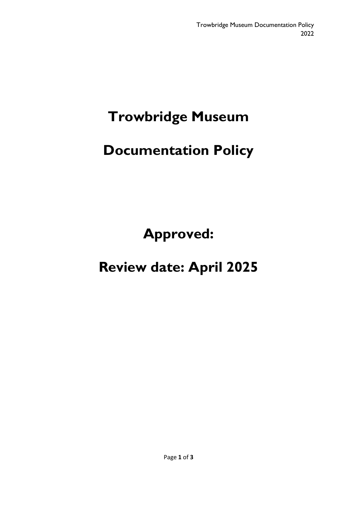# **Trowbridge Museum**

# **Documentation Policy**

**Approved:** 

## **Review date: April 2025**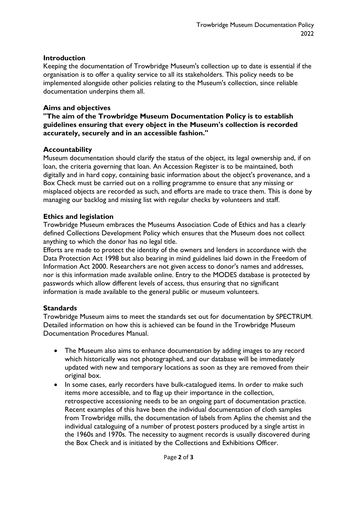#### **Introduction**

Keeping the documentation of Trowbridge Museum's collection up to date is essential if the organisation is to offer a quality service to all its stakeholders. This policy needs to be implemented alongside other policies relating to the Museum's collection, since reliable documentation underpins them all.

#### **Aims and objectives**

#### **"The aim of the Trowbridge Museum Documentation Policy is to establish guidelines ensuring that every object in the Museum's collection is recorded accurately, securely and in an accessible fashion."**

#### **Accountability**

Museum documentation should clarify the status of the object, its legal ownership and, if on loan, the criteria governing that loan. An Accession Register is to be maintained, both digitally and in hard copy, containing basic information about the object's provenance, and a Box Check must be carried out on a rolling programme to ensure that any missing or misplaced objects are recorded as such, and efforts are made to trace them. This is done by managing our backlog and missing list with regular checks by volunteers and staff.

#### **Ethics and legislation**

Trowbridge Museum embraces the Museums Association Code of Ethics and has a clearly defined Collections Development Policy which ensures that the Museum does not collect anything to which the donor has no legal title.

Efforts are made to protect the identity of the owners and lenders in accordance with the Data Protection Act 1998 but also bearing in mind guidelines laid down in the Freedom of Information Act 2000. Researchers are not given access to donor's names and addresses, nor is this information made available online. Entry to the MODES database is protected by passwords which allow different levels of access, thus ensuring that no significant information is made available to the general public or museum volunteers.

### **Standards**

Trowbridge Museum aims to meet the standards set out for documentation by SPECTRUM. Detailed information on how this is achieved can be found in the Trowbridge Museum Documentation Procedures Manual.

- The Museum also aims to enhance documentation by adding images to any record which historically was not photographed, and our database will be immediately updated with new and temporary locations as soon as they are removed from their original box.
- In some cases, early recorders have bulk-catalogued items. In order to make such items more accessible, and to flag up their importance in the collection, retrospective accessioning needs to be an ongoing part of documentation practice. Recent examples of this have been the individual documentation of cloth samples from Trowbridge mills, the documentation of labels from Aplins the chemist and the individual cataloguing of a number of protest posters produced by a single artist in the 1960s and 1970s. The necessity to augment records is usually discovered during the Box Check and is initiated by the Collections and Exhibitions Officer.